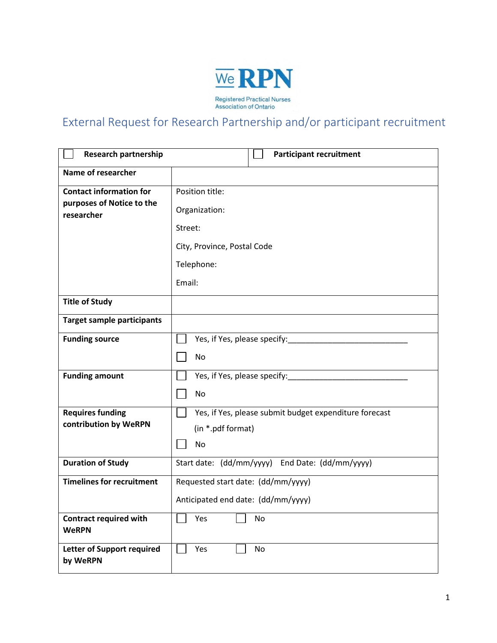

## External Request for Research Partnership and/or participant recruitment

| <b>Research partnership</b>                                               | <b>Participant recruitment</b>                         |
|---------------------------------------------------------------------------|--------------------------------------------------------|
| Name of researcher                                                        |                                                        |
| <b>Contact information for</b><br>purposes of Notice to the<br>researcher | Position title:                                        |
|                                                                           | Organization:                                          |
|                                                                           | Street:                                                |
|                                                                           | City, Province, Postal Code                            |
|                                                                           | Telephone:                                             |
|                                                                           | Email:                                                 |
| <b>Title of Study</b>                                                     |                                                        |
| <b>Target sample participants</b>                                         |                                                        |
| <b>Funding source</b>                                                     | Yes, if Yes, please specify:                           |
|                                                                           | <b>No</b>                                              |
| <b>Funding amount</b>                                                     | Yes, if Yes, please specify:                           |
|                                                                           | <b>No</b>                                              |
| <b>Requires funding</b>                                                   | Yes, if Yes, please submit budget expenditure forecast |
| contribution by WeRPN                                                     | (in *.pdf format)                                      |
|                                                                           | <b>No</b>                                              |
| <b>Duration of Study</b>                                                  | Start date: (dd/mm/yyyy) End Date: (dd/mm/yyyy)        |
| <b>Timelines for recruitment</b>                                          | Requested start date: (dd/mm/yyyy)                     |
|                                                                           | Anticipated end date: (dd/mm/yyyy)                     |
| <b>Contract required with</b><br><b>WeRPN</b>                             | Yes<br>No                                              |
| <b>Letter of Support required</b><br>by WeRPN                             | Yes<br>No                                              |